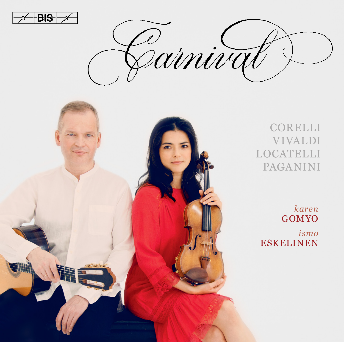

2<br>2 arniva



CORELLI VIVALDI LOCATELLI PAGANINI

*karen* **GOMYO** *ismo* ESKELINEN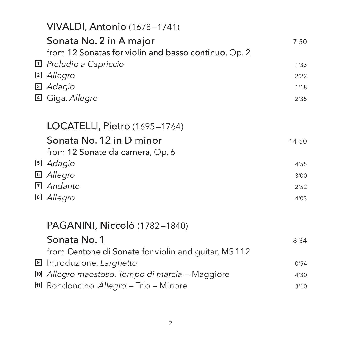|  | VIVALDI, Antonio (1678-1741)                          |       |
|--|-------------------------------------------------------|-------|
|  | Sonata No. 2 in A major                               | 7'50  |
|  | from 12 Sonatas for violin and basso continuo, Op. 2  |       |
|  | $\Box$ Preludio a Capriccio                           | 1'33  |
|  | 2 Allegro                                             | 2'22  |
|  | <sup>3</sup> Adagio                                   | 1'18  |
|  | 4 Giga. Allegro                                       | 2'35  |
|  | <b>LOCATELLI, Pietro</b> (1695–1764)                  |       |
|  | Sonata No. 12 in D minor                              | 14'50 |
|  | from 12 Sonate da camera, Op. 6                       |       |
|  | 5 Adagio                                              | 4'55  |
|  | 6 Allegro                                             | 3'00  |
|  | 7 Andante                                             | 2'52  |
|  | 8 Allegro                                             | 4'03  |
|  | <b>PAGANINI, Niccolò</b> (1782–1840)                  |       |
|  | Sonata No. 1                                          | 8'34  |
|  | from Centone di Sonate for violin and guitar, MS 112  |       |
|  | Introduzione. Larghetto                               | 0'54  |
|  | <u>I</u> Allegro maestoso. Tempo di marcia – Maggiore | 4'30  |
|  | 回 Rondoncino. Allegro - Trio - Minore                 | 3'10  |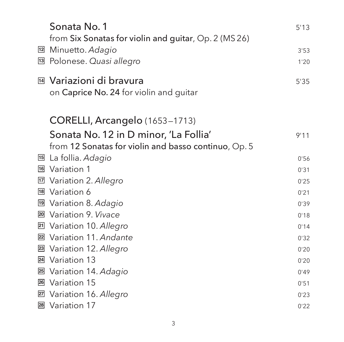|    | Sonata No. 1                                          | 5'13 |
|----|-------------------------------------------------------|------|
|    | from Six Sonatas for violin and guitar, Op. 2 (MS 26) |      |
| 12 | Minuetto. Adagio                                      | 3'53 |
| 13 | Polonese. Quasi allegro                               | 1'20 |
|    | M Variazioni di bravura                               | 5'35 |
|    | on Caprice No. 24 for violin and guitar               |      |
|    |                                                       |      |
|    | CORELLI, Arcangelo (1653-1713)                        |      |
|    | Sonata No. 12 in D minor, 'La Follia'                 | 9'11 |
|    | from 12 Sonatas for violin and basso continuo, Op. 5  |      |
| 15 | La follia. Adagio                                     | 0'56 |
|    | 16 Variation 1                                        | 0'31 |
| 17 | Variation 2. Allegro                                  | 0'25 |
| 18 | Variation 6                                           | 0'21 |
| 19 | Variation 8. Adagio                                   | 0'39 |
| 20 | Variation 9. Vivace                                   | 0'18 |
| 21 | Variation 10. Allegro                                 | 0'14 |
| 22 | Variation 11. Andante                                 | 0'32 |
| 23 | Variation 12. Allegro                                 | 0'20 |
| 24 | Variation 13                                          | 0'20 |
| 25 | Variation 14. Adagio                                  | 0'49 |
|    | 26 Variation 15                                       | 0'51 |
| 27 | Variation 16. Allegro                                 | 0'23 |
|    | 28 Variation 17                                       | 0'22 |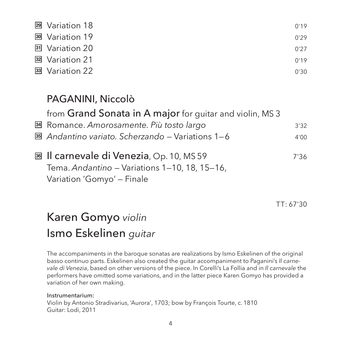| 29 Variation 18            | 0'19 |
|----------------------------|------|
| 30 Variation 19            | 0'29 |
| 31 Variation 20            | 0'27 |
| 32 Variation 21            | 0'19 |
| <sup>33</sup> Variation 22 | 0'30 |

## PAGANINI, Niccolò

from Grand Sonata in A major for guitar and violin, MS 3

Romance. *Amorosamente. Più tosto largo* 3'32 **34**

- **35** Andantino variato. Scherzando Variations 1–6 4'00
- Il carnevale di Venezia, Op. 10, MS 59 7'36 **36** Tema. *Andantino* — Variations 1—10, 18, 15—16, Variation 'Gomyo' — Finale

TT: 67'30

# Karen Gomyo *violin* Ismo Eskelinen *guitar*

The accompaniments in the baroque sonatas are realizations by Ismo Eskelinen of the original basso continuo parts. Eskelinen also created the guitar accompaniment to Paganini's *Il carne vale di Venezia*, based on other versions of the piece. In Corelli's La Follia and in *Il carnevale* the performers have omitted some variations, and in the latter piece Karen Gomyo has provided a variation of her own making.

Instrumentarium: Violin by Antonio Stradivarius, 'Aurora', 1703; bow by François Tourte, c. 1810 Guitar: Lodi, 2011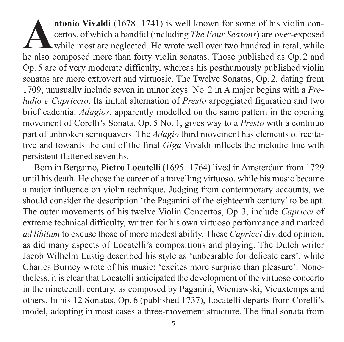**Antonio Vivaldi** (1678–1741) is well known for some of his violin concertos, of which a handful (including *The Four Seasons*) are over-exposed while most are neglected. He wrote well over two hundred in total, while he a certos, of which a handful (including *The Four Seasons*) are over-exposed while most are neglected. He wrote well over two hundred in total, while Op. 5 are of very moderate difficulty, whereas his posthumously published violin sonatas are more extrovert and virtuosic. The Twelve Sonatas, Op. 2, dating from 1709, unusually include seven in minor keys. No. 2 in A major begins with a *Pre ludio e Capriccio*. Its initial alternation of *Presto* arpeggiated figuration and two brief cadential *Adagios*, apparently modelled on the same pattern in the opening movement of Corelli's Sonata, Op. 5 No. 1, gives way to a *Presto* with a continuo part of unbroken semiguavers. The *Adagio* third movement has elements of recitative and towards the end of the final *Giga* Vivaldi inflects the melodic line with persistent flattened sevenths.

Born in Bergamo, **Pietro Locatelli** (1695–1764) lived in Amsterdam from 1729 until his death. He chose the career of a travelling virtuoso, while his music became a major influence on violin technique. Judging from contemporary accounts, we should consider the description 'the Paganini of the eighteenth century' to be apt. The outer movements of his twelve Violin Concertos, Op. 3, include *Capricci* of extreme technical difficulty, written for his own virtuoso performance and marked *ad libitum* to excuse those of more modest ability. These *Capricci* divided opinion, as did many aspects of Locatelli's compositions and playing. The Dutch writer Jacob Wilhelm Lustig described his style as 'unbearable for delicate ears', while Charles Burney wrote of his music: 'excites more surprise than pleasure'. None theless, it is clear that Locatelli anticipated the development of the virtuoso concerto in the nineteenth century, as composed by Paganini, Wieniawski, Vieuxtemps and others. In his 12 Sonatas, Op. 6 (published 1737), Locatelli departs from Corelli's model, adopting in most cases a three-movement structure. The final sonata from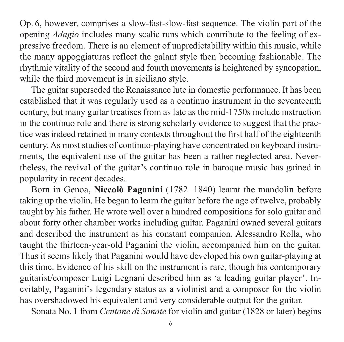Op. 6, however, comprises a slow-fast-slow-fast sequence. The violin part of the opening *Adagio* includes many scalic runs which contribute to the feeling of expressive freedom. There is an element of unpredictability within this music, while the many appoggiaturas reflect the galant style then becoming fashionable. The rhythmic vitality of the second and fourth movements is heightened by syncopation, while the third movement is in siciliano style.

The guitar superseded the Renaissance lute in domestic performance. It has been established that it was regularly used as a continuo instrument in the seventeenth century, but many guitar treatises from as late as the mid-1750s include instruction in the continuo role and there is strong scholarly evidence to suggest that the prac tice was indeed retained in many contexts throughout the first half of the eighteenth century. As most studies of continuo-playing have concentrated on keyboard instru ments, the equivalent use of the guitar has been a rather neglected area. Nevertheless, the revival of the guitar's continuo role in baroque music has gained in popularity in recent decades.

Born in Genoa, **Niccolò Paganini** (1782–1840) learnt the mandolin before taking up the violin. He began to learn the guitar before the age of twelve, probably taught by his father. He wrote well over a hundred compositions for solo guitar and about forty other chamber works including guitar. Paganini owned several guitars and described the instrument as his constant companion. Alessandro Rolla, who taught the thirteen-year-old Paganini the violin, accompanied him on the guitar. Thus it seems likely that Paganini would have developed his own guitar-playing at this time. Evidence of his skill on the instrument is rare, though his contemporary guitarist/composer Luigi Legnani described him as 'a leading guitar player'. Inevit ably, Paganini's legendary status as a violinist and a composer for the violin has overshadowed his equivalent and very considerable output for the guitar.

Sonata No. 1 from *Centone di Sonate* for violin and guitar (1828 or later) begins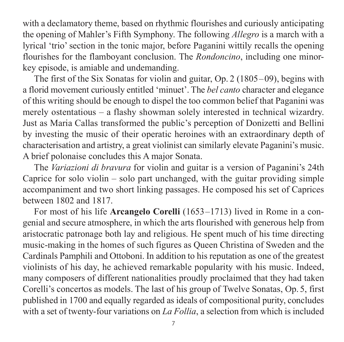with a declamatory theme, based on rhythmic flourishes and curiously anticipating the opening of Mahler's Fifth Symphony. The following *Allegro* is a march with a lyrical 'trio' section in the tonic major, before Paganini wittily recalls the opening flourishes for the flamboyant conclusion. The *Rondoncino*, including one minorkey episode, is amiable and undemanding.

The first of the Six Sonatas for violin and guitar, Op. 2 (1805–09), begins with a florid movement curiously entitled 'minuet'. The *bel canto* character and elegance of this writing should be enough to dispel the too common belief that Paganini was merely ostentatious – a flashy showman solely interested in technical wizardry. Just as Maria Callas transformed the public's perception of Donizetti and Bellini by investing the music of their operatic heroines with an extraordinary depth of char acterisation and artistry, a great violinist can similarly elevate Paganini's music. A brief polonaise concludes this A major Sonata.

The *Variazioni di bravura* for violin and guitar is a version of Paganini's 24th Caprice for solo violin – solo part unchanged, with the guitar providing simple accom paniment and two short linking passages. He composed his set of Caprices between 1802 and 1817.

For most of his life **Arcangelo Corelli** (1653–1713) lived in Rome in a congenial and secure atmosphere, in which the arts flourished with generous help from aristocratic patronage both lay and religious. He spent much of his time directing music-making in the homes of such figures as Queen Christina of Sweden and the Cardinals Pamphili and Ottoboni. In addition to his reputation as one of the greatest violinists of his day, he achieved remarkable popularity with his music. Indeed, many composers of different nationalities proudly proclaimed that they had taken Corelli's concertos as models. The last of his group of Twelve Sonatas, Op. 5, first published in 1700 and equally regarded as ideals of compositional purity, concludes with a set of twenty-four variations on *La Follia*, a selection from which is included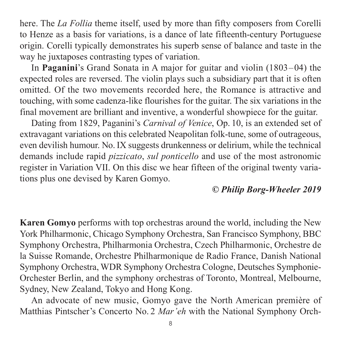here. The *La Follia* theme itself, used by more than fifty composers from Corelli to Henze as a basis for variations, is a dance of late fifteenth-century Portuguese origin. Corelli typically demonstrates his superb sense of balance and taste in the way he juxtaposes contrasting types of variation.

In **Paganini**'s Grand Sonata in A major for guitar and violin (1803–04) the expected roles are reversed. The violin plays such a subsidiary part that it is often omitted. Of the two movements recorded here, the Romance is attractive and touching, with some cadenza-like flourishes for the guitar. The six variations in the final movement are brilliant and inventive, a wonderful showpiece for the guitar.

Dating from 1829, Paganini's *Carnival of Venice*, Op. 10, is an extended set of extravagant variations on this celebrated Neapolitan folk-tune, some of outrageous, even devilish humour. No.IX suggests drunkenness or delirium, while the technical demands include rapid *pizzicato*, *sul ponticello* and use of the most astronomic register in Variation VII. On this disc we hear fifteen of the original twenty varia tions plus one devised by Karen Gomyo.

### © Philip Borg-Wheeler 2019 *© Philip Borg-Wheeler 2019*

**Karen Gomyo** performs with top orchestras around the world, including the New York Philharmonic, Chicago Symphony Orchestra, San Francisco Symphony, BBC Symphony Orchestra, Philharmonia Orchestra, Czech Philharmonic, Orchestre de la Suisse Romande, Orchestre Philharmonique de Radio France, Danish National Symphony Orchestra, WDR Symphony Orchestra Cologne, Deutsches Symphonie-Orchester Berlin, and the symphony orchestras of Toronto, Montreal, Melbourne, Sydney, New Zealand, Tokyo and Hong Kong.

An advocate of new music, Gomyo gave the North American première of Matthias Pintscher's Concerto No. 2 *Mar'eh* with the National Symphony Orch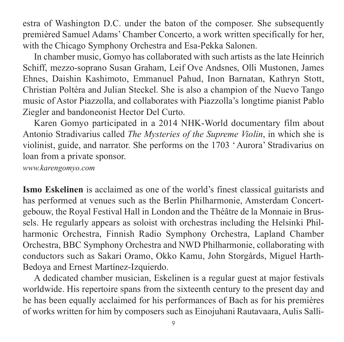estra of Washington D.C. under the baton of the composer. She subsequently premièred Samuel Adams' Chamber Concerto, a work written specifically for her, with the Chicago Symphony Orchestra and Esa-Pekka Salonen.

In chamber music, Gomyo has collaborated with such artists as the late Heinrich Schiff, mezzo-soprano Susan Graham, Leif Ove Andsnes, Olli Mustonen, James Ehnes, Daishin Kashimoto, Emmanuel Pahud, Inon Barnatan, Kathryn Stott, Christian Poltéra and Julian Steckel. She is also a champion of the Nuevo Tango music of Astor Piazzolla, and collaborates with Piazzolla's longtime pianist Pablo Ziegler and bandoneonist Hector Del Curto.

Karen Gomyo participated in a 2014 NHK-World documentary film about Antonio Stradivarius called *The Mysteries of the Supreme Violin*, in which she is violinist, guide, and narrator. She performs on the 1703 'Aurora' Stradivarius on loan from a private sponsor.

*[www.karengomyo.com](http://www.karengomyo.com)*

**Ismo Eskelinen** is acclaimed as one of the world's finest classical guitarists and has performed at venues such as the Berlin Philharmonie, Amsterdam Concertgebouw, the Royal Festival Hall in London and the Théâtre de la Monnaie in Brus sels. He regularly appears as soloist with orchestras including the Helsinki Philharmonic Orchestra, Finnish Radio Symphony Orchestra, Lapland Chamber Orchestra, BBC Symphony Orchestra and NWD Philharmonie, collaborating with conductors such as Sakari Oramo, Okko Kamu, John Storgårds, Miguel Harth-Bedoya and Ernest Martínez-Izquierdo.

A dedicated chamber musician, Eskelinen is a regular guest at major festivals worldwide. His repertoire spans from the sixteenth century to the present day and he has been equally acclaimed for his performances of Bach as for his premières of works written for him by composers such as Einojuhani Rautavaara, Aulis Salli -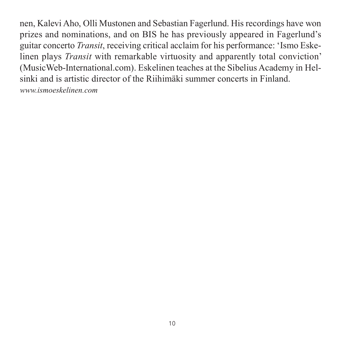nen, Kalevi Aho, Olli Mustonen and Sebastian Fagerlund. His recordings have won prizes and nominations, and on BIS he has previously appeared in Fagerlund's guitar concerto *Transit*, receiving critical acclaim for his performance: 'Ismo Eske linen plays *Transit* with remarkable virtuosity and apparently total conviction' (MusicWeb-International.com). Eskelinen teaches at the Sibelius Academy in Hel sinki and is artistic director of the Riihimäki summer concerts in Finland. *[www.ismoeskelinen.com](http://www.ismoeskelinen.com)*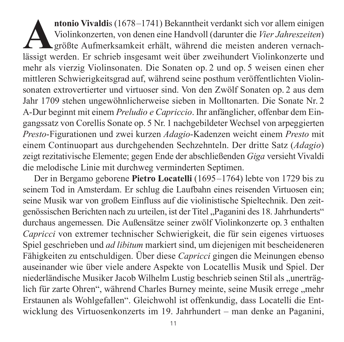**Antonio Vivaldi**s (1678–1741) Bekanntheit verdankt sich vor allem einigen<br>Violinkonzerten, von denen eine Handvoll (darunter die *Vier Jahreszeiten*)<br>größte Aufmerksamkeit erhält, während die meisten anderen vernach-<br>läss Violinkonzerten, von denen eine Handvoll (darunter die *Vier Jahreszeiten*) größte Aufmerksamkeit erhält, während die meisten anderen vernachlässigt werden. Er schrieb insgesamt weit über zweihundert Violinkonzerte und mehr als vierzig Violinsonaten. Die Sonaten op. 2 und op. 5 weisen einen eher mittleren Schwierigkeitsgrad auf, während seine posthum veröffentlichten Violinsonaten extrovertierter und virtuoser sind. Von den Zwölf Sonaten op. 2 aus dem Jahr 1709 stehen ungewöhnlicherweise sieben in Molltonarten. Die Sonate Nr. 2 A-Dur beginnt mit einem *Preludio e Capriccio*. Ihr anfänglicher, offenbar dem Ein gangssatz von Corellis Sonate op. 5 Nr. 1 nachgebildeter Wechsel von arpeggierten *Presto*-Figurationen und zwei kurzen *Adagio*-Kadenzen weicht einem *Presto* mit einem Continuopart aus durchgehenden Sechzehnteln. Der dritte Satz (*Adagio*) zeigt rezitativische Elemente; gegen Ende der abschließenden *Giga* versieht Vivaldi die melodische Linie mit durchweg verminderten Septimen.

Der in Bergamo geborene **Pietro Locatelli** (1695–1764) lebte von 1729 bis zu seinem Tod in Amsterdam. Er schlug die Laufbahn eines reisenden Virtuosen ein; seine Musik war von großem Einfluss auf die violinistische Spieltechnik. Den zeit genössischen Berichten nach zu urteilen, ist der Titel "Paganini des 18. Jahrhunderts" durchaus angemessen. Die Außensätze seiner zwölf Violinkonzerte op. 3 enthalten *Capricci* von extremer technischer Schwierigkeit, die für sein eigenes virtuoses Spiel geschrieben und *ad libitum* markiert sind, um diejenigen mit bescheideneren Fähigkeiten zu entschuldigen. Über diese *Capricci* gingen die Meinungen ebenso auseinander wie über viele andere Aspekte von Locatellis Musik und Spiel. Der niederländische Musiker Jacob Wilhelm Lustig beschrieb seinen Stil als "unerträglich für zarte Ohren", während Charles Burney meinte, seine Musik errege "mehr Erstaunen als Wohlgefallen". Gleichwohl ist offenkundig, dass Locatelli die Ent wicklung des Virtuosenkonzerts im 19. Jahrhundert – man denke an Paganini,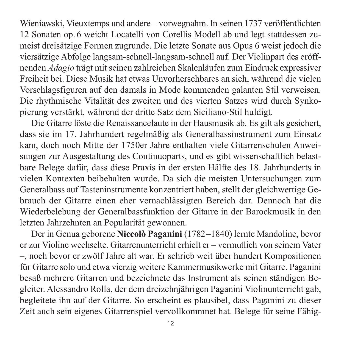Wieniawski, Vieuxtemps und andere – vorwegnahm. In seinen 1737 veröffentlichten 12 Sonaten op. 6 weicht Locatelli von Corellis Modell ab und legt stattdessen zumeist dreisätzige Formen zugrunde. Die letzte Sonate aus Opus 6 weist jedoch die viersätzige Abfolge langsam-schnell-langsam-schnell auf. Der Violinpart des eröff nenden *Adagio* trägt mit seinen zahlreichen Skalenläufen zum Eindruck expressiver Freiheit bei. Diese Musik hat etwas Unvorhersehbares an sich, während die vielen Vorschlagsfiguren auf den damals in Mode kommenden galanten Stil verweisen. Die rhythmische Vitalität des zweiten und des vierten Satzes wird durch Synko pierung verstärkt, während der dritte Satz dem Siciliano-Stil huldigt.

Die Gitarre löste die Renaissancelaute in der Hausmusik ab. Es gilt als gesichert, dass sie im 17. Jahrhundert regelmäßig als Generalbassinstrument zum Einsatz kam, doch noch Mitte der 1750er Jahre enthalten viele Gitarrenschulen Anweisungen zur Ausgestaltung des Continuoparts, und es gibt wissenschaftlich belastbare Belege dafür, dass diese Praxis in der ersten Hälfte des 18. Jahrhunderts in vielen Kontexten beibehalten wurde. Da sich die meisten Untersuchungen zum Generalbass auf Tasteninstrumente konzentriert haben, stellt der gleichwertige Ge brauch der Gitarre einen eher vernachlässigten Bereich dar. Dennoch hat die Wieder belebung der Generalbassfunktion der Gitarre in der Barockmusik in den letzten Jahrzehnten an Popularität gewonnen.

Der in Genua geborene **Niccolò Paganini** (1782–1840) lernte Mandoline, bevor er zur Violine wechselte. Gitarrenunterricht erhielt er – vermutlich von seinem Vater –, noch bevor er zwölf Jahre alt war. Er schrieb weit über hundert Kompositionen für Gitarre solo und etwa vierzig weitere Kammermusikwerke mit Gitarre. Paganini besaß mehrere Gitarren und bezeichnete das Instrument als seinen ständigen Be gleiter. Alessandro Rolla, der dem dreizehnjährigen Paganini Violinunterricht gab, begleitete ihn auf der Gitarre. So erscheint es plausibel, dass Paganini zu dieser Zeit auch sein eigenes Gitarrenspiel vervollkommnet hat. Belege für seine Fähig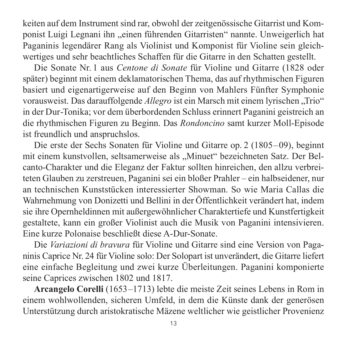keiten auf dem Instrument sind rar, obwohl der zeitgenössische Gitarrist und Komponist Luigi Legnani ihn "einen führenden Gitarristen" nannte. Unweigerlich hat Paganinis legendärer Rang als Violinist und Komponist für Violine sein gleich wertiges und sehr beachtliches Schaffen für die Gitarre in den Schatten gestellt.

Die Sonate Nr. 1 aus *Centone di Sonate* für Violine und Gitarre (1828 oder später) beginnt mit einem deklamatorischen Thema, das auf rhythmischen Figuren basiert und eigenartigerweise auf den Beginn von Mahlers Fünfter Symphonie vorausweist. Das darauffolgende *Allegro* ist ein Marsch mit einem lyrischen "Trio" in der Dur-Tonika; vor dem überbordenden Schluss erinnert Paganini geistreich an die rhythmischen Figuren zu Beginn. Das *Rondoncino* samt kurzer Moll-Episode ist freundlich und anspruchslos.

Die erste der Sechs Sonaten für Violine und Gitarre op. 2 (1805–09), beginnt mit einem kunstvollen, seltsamerweise als "Minuet" bezeichneten Satz. Der Belcanto-Charakter und die Eleganz der Faktur sollten hinreichen, den allzu verbreiteten Glauben zu zerstreuen, Paganini sei ein bloßer Prahler – ein halbseidener, nur an technischen Kunststücken interessierter Showman. So wie Maria Callas die Wahrnehmung von Donizetti und Bellini in der Öffentlichkeit verändert hat, indem sie ihre Opernheldinnen mit außergewöhnlicher Charaktertiefe und Kunstfertigkeit gestaltete, kann ein großer Violinist auch die Musik von Paganini intensivieren. Eine kurze Polonaise beschließt diese A-Dur-Sonate.

Die *Variazioni di bravura* für Violine und Gitarre sind eine Version von Paganinis Caprice Nr. 24 für Violine solo: Der Solopart ist unverändert, die Gitarre liefert eine einfache Begleitung und zwei kurze Überleitungen. Paganini komponierte seine Caprices zwischen 1802 und 1817.

**Arcangelo Corelli** (1653–1713) lebte die meiste Zeit seines Lebens in Rom in einem wohlwollenden, sicheren Umfeld, in dem die Künste dank der generösen Unterstützung durch aristokratische Mäzene weltlicher wie geistlicher Provenienz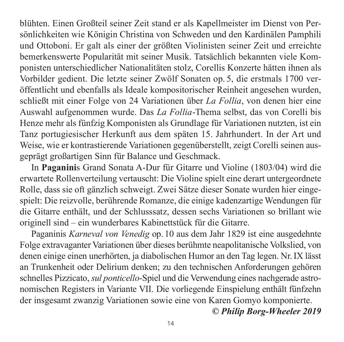blühten. Einen Großteil seiner Zeit stand er als Kapellmeister im Dienst von Per sön lichkeiten wie Königin Christina von Schweden und den Kardinälen Pamphili und Ottoboni. Er galt als einer der größten Violinisten seiner Zeit und erreichte bemerkenswerte Popularität mit seiner Musik. Tatsächlich bekannten viele Kompo nisten unterschiedlicher Nationalitäten stolz, Corellis Konzerte hätten ihnen als Vorbilder gedient. Die letzte seiner Zwölf Sonaten op. 5, die erstmals 1700 ver öffent licht und ebenfalls als Ideale kompositorischer Reinheit angesehen wurden, schließt mit einer Folge von 24 Variationen über *La Follia*, von denen hier eine Aus wahl aufgenommen wurde. Das *La Follia*-Thema selbst, das von Corelli bis Henze mehr als fünfzig Komponisten als Grundlage für Variationen nutzten, ist ein Tanz portugiesischer Herkunft aus dem späten 15. Jahrhundert. In der Art und Weise, wie er kontrastierende Variationen gegenüberstellt, zeigt Corelli seinen aus geprägt großartigen Sinn für Balance und Geschmack.

In **Paganini**s Grand Sonata A-Dur für Gitarre und Violine (1803/04) wird die erwartete Rollenverteilung vertauscht: Die Violine spielt eine derart untergeordnete Rolle, dass sie oft gänzlich schweigt. Zwei Sätze dieser Sonate wurden hier ein ge spielt: Die reizvolle, berührende Romanze, die einige kadenzartige Wendungen für die Gitarre enthält, und der Schlusssatz, dessen sechs Variationen so brillant wie originell sind – ein wunderbares Kabinettstück für die Gitarre.

Paganinis *Karneval von Venedig* op. 10 aus dem Jahr 1829 ist eine ausgedehnte Folge extravaganter Variationen über dieses berühmte neapolitanische Volkslied, von denen einige einen unerhörten, ja diabolischen Humor an den Tag legen. Nr.IX lässt an Trunkenheit oder Delirium denken; zu den technischen Anforderungen gehören schnelles Pizzicato, *sul ponticello*-Spiel und die Verwendung eines nachgerade astronomischen Registers in Variante VII. Die vorliegende Einspielung enthält fünfzehn der insgesamt zwanzig Variationen sowie eine von Karen Gomyo komponierte.

*© Philip Borg-Wheeler 2019*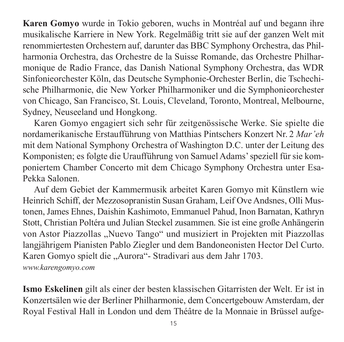**Karen Gomyo** wurde in Tokio geboren, wuchs in Montréal auf und begann ihre musi kalische Karriere in New York. Regelmäßig tritt sie auf der ganzen Welt mit renommiertesten Orchestern auf, darunter das BBC Symphony Orchestra, das Phil har monia Orchestra, das Orchestre de la Suisse Romande, das Orchestre Philharmonique de Radio France, das Danish National Symphony Orchestra, das WDR Sin fonieorchester Köln, das Deutsche Symphonie-Orchester Berlin, die Tschechi sche Philharmonie, die New Yorker Philharmoniker und die Symphonieorchester von Chicago, San Francisco, St. Louis, Cleveland, Toronto, Montreal, Melbourne, Sydney, Neuseeland und Hongkong.

Karen Gomyo engagiert sich sehr für zeitgenössische Werke. Sie spielte die nord amerikanische Erstaufführung von Matthias Pintschers Konzert Nr. 2 *Mar'eh* mit dem National Symphony Orchestra of Washington D.C. unter der Leitung des Komponisten; es folgte die Uraufführung von Samuel Adams' speziell für sie komponiertem Chamber Concerto mit dem Chicago Symphony Orchestra unter Esa-Pekka Salonen.

Auf dem Gebiet der Kammermusik arbeitet Karen Gomyo mit Künstlern wie Heinrich Schiff, der Mezzosopranistin Susan Graham, Leif Ove Andsnes, Olli Mus tonen, James Ehnes, Daishin Kashimoto, Emmanuel Pahud, Inon Barnatan, Kathryn Stott, Christian Poltéra und Julian Steckel zusammen. Sie ist eine große Anhängerin von Astor Piazzollas "Nuevo Tango" und musiziert in Projekten mit Piazzollas langjährigem Pianisten Pablo Ziegler und dem Bandoneonisten Hector Del Curto. Karen Gomyo spielt die "Aurora"- Stradivari aus dem Jahr 1703. *[www.karengomyo.com](http://www.karengomyo.com)*

**Ismo Eskelinen** gilt als einer der besten klassischen Gitarristen der Welt. Er ist in Konzertsälen wie der Berliner Philharmonie, dem Concertgebouw Amsterdam, der Royal Festival Hall in London und dem Théâtre de la Monnaie in Brüssel aufge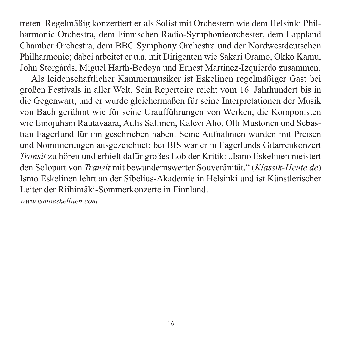treten. Regelmäßig konzertiert er als Solist mit Orchestern wie dem Helsinki Phil harmonic Orchestra, dem Finnischen Radio-Symphonieorchester, dem Lappland Chamber Orchestra, dem BBC Symphony Orchestra und der Nordwestdeutschen Philharmonie; dabei arbeitet er u.a. mit Dirigenten wie Sakari Oramo, Okko Kamu, John Storgårds, Miguel Harth-Bedoya und Ernest Martínez-Izquierdo zusammen.

Als leidenschaftlicher Kammermusiker ist Eskelinen regelmäßiger Gast bei großen Festivals in aller Welt. Sein Repertoire reicht vom 16. Jahrhundert bis in die Gegenwart, und er wurde gleichermaßen für seine Interpretationen der Musik von Bach gerühmt wie für seine Uraufführungen von Werken, die Komponisten wie Einojuhani Rautavaara, Aulis Sallinen, Kalevi Aho, Olli Mustonen und Sebas tian Fagerlund für ihn geschrieben haben. Seine Aufnahmen wurden mit Preisen und Nominierungen ausgezeichnet; bei BIS war er in Fagerlunds Gitarrenkonzert *Transit* zu hören und erhielt dafür großes Lob der Kritik: "Ismo Eskelinen meistert den Solopart von *Transit* mit bewundernswerter Souveränität." (*Klassik-Heute.de*) Ismo Eskelinen lehrt an der Sibelius-Akademie in Helsinki und ist Künst lerischer Leiter der Riihimäki-Sommerkonzerte in Finnland.

*[www.ismoeskelinen.com](http://www.ismoeskelinen.com)*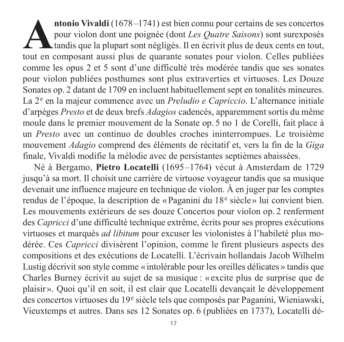**Antonio Vivaldi** (1678–1741) est bien connu pour certains de ses concertos pour violon dont une poignée (dont *Les Quatre Saisons*) sont surexposés tandis que la plupart sont négligés. Il en écrivit plus de deux cents en pour violon dont une poignée (dont *Les Quatre Saisons*) sont surexposés tandis que la plupart sont négligés. Il en écrivit plus de deux cents en tout, tout en composant aussi plus de quarante sonates pour violon. Celles publiées comme les opus 2 et 5 sont d'une difficulté très modérée tandis que ses sonates pour violon publiées posthumes sont plus extraverties et virtuoses. Les Douze Sonates op. 2 datant de 1709 en incluent habituellement sept en tonalités mineures. La 2<sup>e</sup> en la majeur commence avec un *Preludio e Capriccio*. L'alternance initiale d'arpèges *Presto* et de deux brefs *Adagios* cadencés, apparemment sortis du même moule dans le premier mouvement de la Sonate op. 5 no 1 de Corelli, fait place à un *Presto* avec un continuo de doubles croches ininterrompues. Le troisième mouve ment *Adagio* comprend des éléments de récitatif et, vers la fin de la *Giga* finale, Vivaldi modifie la mélodie avec de persistantes septièmes abaissées.

Né à Bergamo, **Pietro Locatelli** (1695–1764) vécut à Amsterdam de 1729 jusqu'à sa mort. Il choisit une carrière de virtuose voyageur tandis que sa musique devenait une influence majeure en technique de violon. À en juger par les comptes rendus de l'époque, la description de «Paganini du 18<sup>e</sup> siècle» lui convient bien. Les mouvements extérieurs de ses douze Concertos pour violon op. 2 renferment des *Capricci* d'une difficulté technique extrême, écrits pour ses propres exécutions virtuoses et marqués *ad libitum* pour excuser les violonistes à l'habileté plus modérée. Ces *Capricci* divisèrent l'opinion, comme le firent plusieurs aspects des com positions et des exécutions de Locatelli. L'écrivain hollandais Jacob Wilhelm Lustig décrivit son style comme «intolérable pour les oreilles délicates» tandis que Charles Burney écrivit au sujet de sa musique : « excite plus de surprise que de plaisir». Quoi qu'il en soit, il est clair que Locatelli devançait le développement des concertos virtuoses du 19e siècle tels que composés par Paganini, Wieniawski, Vieuxtemps et autres. Dans ses 12 Sonates op. 6 (publiées en 1737), Locatelli dé -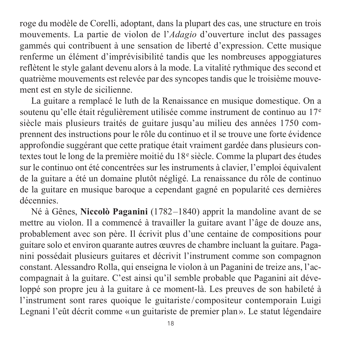roge du modèle de Corelli, adoptant, dans la plupart des cas, une structure en trois mouvements. La partie de violon de l'*Adagio* d'ouverture inclut des passages gammés qui contribuent à une sensation de liberté d'expression. Cette musique renferme un élément d'imprévisibilité tandis que les nombreuses appoggiatures reflètent le style galant devenu alors à la mode. La vitalité rythmique des second et quatrième mouvements est relevée par des syncopes tandis que le troisième mouve ment est en style de sicilienne.

La guitare a remplacé le luth de la Renaissance en musique domestique. On a soutenu qu'elle était régulièrement utilisée comme instrument de continuo au 17<sup>e</sup> siècle mais plusieurs traités de guitare jusqu'au milieu des années 1750 comprennent des instructions pour le rôle du continuo et il se trouve une forte évidence approfondie suggérant que cette pratique était vraiment gardée dans plusieurs con textes tout le long de la première moitié du 18<sup>e</sup> siècle. Comme la plupart des études sur le continuo ont été concentrées sur les instruments à clavier, l'emploi équivalent de la guitare a été un domaine plutôt négligé. La renaissance du rôle de continuo de la guitare en musique baroque a cependant gagné en popularité ces dernières décennies.

Né à Gênes, **Niccolò Paganini** (1782–1840) apprit la mandoline avant de se mettre au violon. Il a commencé à travailler la guitare avant l'âge de douze ans, pro bablement avec son père. Il écrivit plus d'une centaine de compositions pour guitare solo et environ quarante autres œuvres de chambre incluant la guitare. Paga nini possédait plusieurs guitares et décrivit l'instrument comme son compagnon constant. Alessandro Rolla, qui enseigna le violon à un Paganini de treize ans, l'ac com pagnait à la guitare. C'est ainsi qu'il semble probable que Paganini ait déve loppé son propre jeu à la guitare à ce moment-là. Les preuves de son habileté à l'instrument sont rares quoique le guitariste / compositeur contemporain Luigi Legnani l'eût décrit comme «un guitariste de premier plan». Le statut légendaire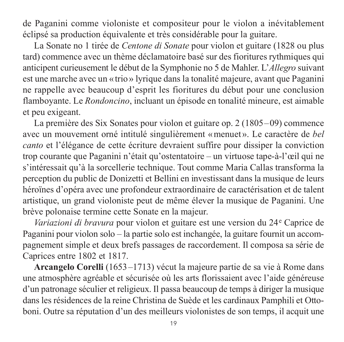de Paganini comme violoniste et compositeur pour le violon a inévitablement éclipsé sa production équivalente et très considérable pour la guitare.

La Sonate no 1 tirée de *Centone di Sonate* pour violon et guitare (1828 ou plus tard) commence avec un thème déclamatoire basé sur des fioritures rythmiques qui anticipent curieusement le début de la Symphonie no 5 de Mahler. L'*Allegro* suivant est une marche avec un « trio» lyrique dans la tonalité majeure, avant que Paganini ne rappelle avec beaucoup d'esprit les fioritures du début pour une conclusion flamboyante. Le *Rondoncino*, incluant un épisode en tonalité mineure, est aimable et peu exigeant.

La première des Six Sonates pour violon et guitare op. 2 (1805–09) commence avec un mouvement orné intitulé singulièrement «menuet ». Le caractère de *bel canto* et l'élégance de cette écriture devraient suffire pour dissiper la conviction trop courante que Paganini n'était qu'ostentatoire – un virtuose tape-à-l'œil qui ne s'intéressait qu'à la sorcellerie technique. Tout comme Maria Callas transforma la perception du public de Donizetti et Bellini en investissant dans la musique de leurs héroïnes d'opéra avec une profondeur extraordinaire de caractérisation et de talent artistique, un grand violoniste peut de même élever la musique de Paganini. Une brève polonaise termine cette Sonate en la majeur.

*Variazioni di bravura* pour violon et guitare est une version du 24e Caprice de Paganini pour violon solo – la partie solo est inchangée, la guitare fournit un accom pagnement simple et deux brefs passages de raccordement. Il composa sa série de Caprices entre 1802 et 1817.

**Arcangelo Corelli** (1653–1713) vécut la majeure partie de sa vie à Rome dans une atmosphère agréable et sécurisée où les arts florissaient avec l'aide généreuse d'un patronage séculier et religieux. Il passa beaucoup de temps à diriger la musique dans les résidences de la reine Christina de Suède et les cardinaux Pamphili et Otto boni. Outre sa réputation d'un des meilleurs violonistes de son temps, il acquit une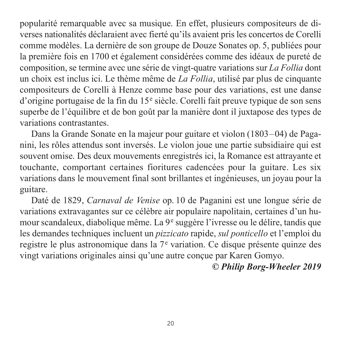popularité remarquable avec sa musique. En effet, plusieurs compositeurs de di verses nationalités déclaraient avec fierté qu'ils avaient pris les concertos de Corelli comme modèles. La dernière de son groupe de Douze Sonates op. 5, publiées pour la première fois en 1700 et également considérées comme des idéaux de pureté de composition, se termine avec une série de vingt-quatre variations sur *La Follia* dont un choix est inclus ici. Le thème même de *La Follia*, utilisé par plus de cinquante compositeurs de Corelli à Henze comme base pour des variations, est une danse d'origine portugaise de la fin du 15<sup>e</sup> siècle. Corelli fait preuve typique de son sens superbe de l'équilibre et de bon goût par la manière dont il juxtapose des types de variations contrastantes.

Dans la Grande Sonate en la majeur pour guitare et violon (1803–04) de Paganini, les rôles attendus sont inversés. Le violon joue une partie subsidiaire qui est souvent omise. Des deux mouvements enregistrés ici, la Romance est attrayante et touchante, comportant certaines fioritures cadencées pour la guitare. Les six variations dans le mouvement final sont brillantes et ingénieuses, un joyau pour la guitare.

Daté de 1829, *Carnaval de Venise* op. 10 de Paganini est une longue série de variations extravagantes sur ce célèbre air populaire napolitain, certaines d'un humour scandaleux, diabolique même. La 9<sup>e</sup> suggère l'ivresse ou le délire, tandis que les demandes techniques incluent un *pizzicato* rapide, *sul ponticello* et l'emploi du registre le plus astronomique dans la 7<sup>e</sup> variation. Ce disque présente quinze des vingt variations originales ainsi qu'une autre conçue par Karen Gomyo.

# *© Philip Borg-Wheeler 2019*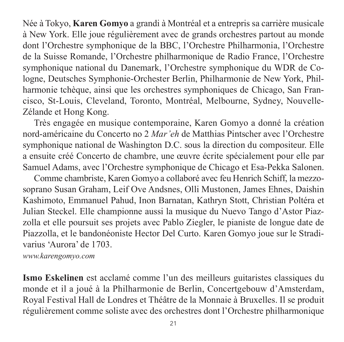Née à Tokyo, **Karen Gomyo** a grandi à Montréal et a entrepris sa carrière musicale à New York. Elle joue régulièrement avec de grands orchestres partout au monde dont l'Orchestre symphonique de la BBC, l'Orchestre Philharmonia, l'Orchestre de la Suisse Romande, l'Orchestre philharmonique de Radio France, l'Orchestre symphonique national du Danemark, l'Orchestre symphonique du WDR de Cologne, Deutsches Symphonie-Orchester Berlin, Philharmonie de New York, Phil harmonie tchèque, ainsi que les orchestres symphoniques de Chicago, San Francisco, St-Louis, Cleveland, Toronto, Montréal, Melbourne, Sydney, Nouvelle-Zélande et Hong Kong.

Très engagée en musique contemporaine, Karen Gomyo a donné la création nord-américaine du Concerto no 2 *Mar'eh* de Matthias Pintscher avec l'Orchestre symphonique national de Washington D.C. sous la direction du compositeur. Elle a ensuite créé Concerto de chambre, une œuvre écrite spécialement pour elle par Samuel Adams, avec l'Orchestre symphonique de Chicago et Esa-Pekka Salonen.

Comme chambriste, Karen Gomyo a collaboré avec feu Henrich Schiff, la mezzosoprano Susan Graham, Leif Ove Andsnes, Olli Mustonen, James Ehnes, Daishin Kashimoto, Emmanuel Pahud, Inon Barnatan, Kathryn Stott, Christian Poltéra et Julian Steckel. Elle championne aussi la musique du Nuevo Tango d'Astor Piazzolla et elle poursuit ses projets avec Pablo Ziegler, le pianiste de longue date de Piazzolla, et le bandonéoniste Hector Del Curto. Karen Gomyo joue sur le Stradi varius 'Aurora' de 1703.

*[www.karengomyo.com](http://www.karengomyo.com)*

**Ismo Eskelinen** est acclamé comme l'un des meilleurs guitaristes classiques du monde et il a joué à la Philharmonie de Berlin, Concertgebouw d'Amsterdam, Royal Festival Hall de Londres et Théâtre de la Monnaie à Bruxelles. Il se produit régulièrement comme soliste avec des orchestres dont l'Orchestre philharmonique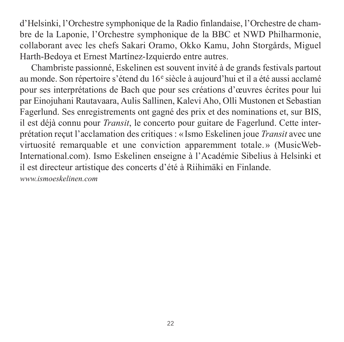d'Helsinki, l'Orchestre symphonique de la Radio finlandaise, l'Orchestre de cham bre de la Laponie, l'Orchestre symphonique de la BBC et NWD Philharmonie, collaborant avec les chefs Sakari Oramo, Okko Kamu, John Storgårds, Miguel Harth-Bedoya et Ernest Martínez-Izquierdo entre autres.

Chambriste passionné, Eskelinen est souvent invité à de grands festivals partout au monde. Son répertoire s'étend du 16<sup>e</sup> siècle à aujourd'hui et il a été aussi acclamé pour ses interprétations de Bach que pour ses créations d'œuvres écrites pour lui par Einojuhani Rautavaara, Aulis Sallinen, Kalevi Aho, Olli Mustonen et Sebastian Fagerlund. Ses enregistrements ont gagné des prix et des nominations et, sur BIS, il est déjà connu pour *Transit*, le concerto pour guitare de Fagerlund. Cette interprétation reçut l'acclamation des critiques: «Ismo Eskelinen joue *Transit* avec une virtuosité remarquable et une conviction apparemment totale. » (MusicWeb-International.com). Ismo Eskelinen enseigne à l'Académie Sibelius à Helsinki et il est directeur artistique des concerts d'été à Riihimäki en Finlande.

*[www.ismoeskelinen.com](http://www.ismoeskelinen.com)*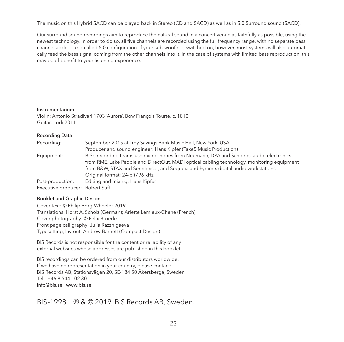The music on this Hybrid SACD can be played back in Stereo (CD and SACD) as well as in 5.0 Surround sound (SACD).

Our surround sound recordings aim to reproduce the natural sound in a concert venue as faithfully as possible, using the newest technology. In order to do so, all five channels are recorded using the full frequency range, with no separate bass channel added: a so-called 5.0 configuration. If your sub-woofer is switched on, however, most systems will also automatically feed the bass signal coming from the other channels into it. In the case of systems with limited bass reproduction, this may be of benefit to your listening experience.

#### Instrumentarium

Violin: Antonio Stradivari 1703 'Aurora'. Bow François Tourte, c. 1810 Guitar: Lodi 2011

#### Recording Data

| Recording:                      | September 2015 at Troy Savings Bank Music Hall, New York, USA                              |
|---------------------------------|--------------------------------------------------------------------------------------------|
|                                 | Producer and sound engineer: Hans Kipfer (Take5 Music Production)                          |
| Equipment:                      | BIS's recording teams use microphones from Neumann, DPA and Schoeps, audio electronics     |
|                                 | from RME, Lake People and DirectOut, MADI optical cabling technology, monitoring equipment |
|                                 | from B&W, STAX and Sennheiser, and Sequoia and Pyramix digital audio workstations.         |
|                                 | Original format: 24-bit/96 kHz                                                             |
| Post-production:                | Editing and mixing: Hans Kipfer                                                            |
| Executive producer: Robert Suff |                                                                                            |

#### Booklet and Graphic Design

Cover text: © Philip Borg-Wheeler 2019 Translations: Horst A. Scholz (German); Arlette Lemieux-Chené (French) Cover photography: © Felix Broede Front page calligraphy: Julia Razzhigaeva Typesetting, lay-out: Andrew Barnett (Compact Design)

BIS Records is not responsible for the content or reliability of any external websites whose addresses are published in this booklet.

BIS recordings can be ordered from our distributors worldwide. If we have no representation in your country, please contact: BIS Records AB, Stationsvägen 20, SE-184 50 Åkersberga, Sweden  $T_{e}$  $\left| \cdot \right.$  +46 8 544 102 30 [info@bis.se](mailto:info@bis.se) [www.bis.se](http://www.bis.se)

### BIS-1998 @ & © 2019, BIS Records AB, Sweden.